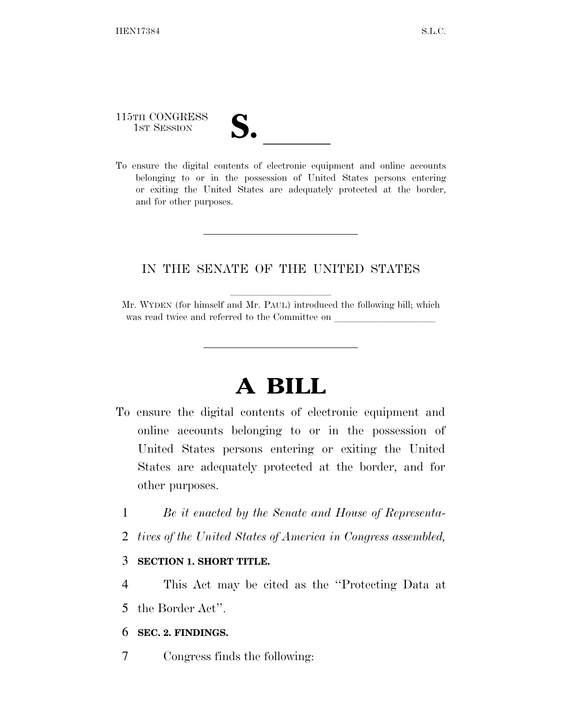# 115TH CONGRESS

115TH CONGRESS<br>
1ST SESSION<br>
To ensure the digital contents of electronic equipment and online accounts belonging to or in the possession of United States persons entering or exiting the United States are adequately protected at the border, and for other purposes.

#### IN THE SENATE OF THE UNITED STATES

Mr. WYDEN (for himself and Mr. PAUL) introduced the following bill; which was read twice and referred to the Committee on

## **A BILL**

- To ensure the digital contents of electronic equipment and online accounts belonging to or in the possession of United States persons entering or exiting the United States are adequately protected at the border, and for other purposes.
	- 1 *Be it enacted by the Senate and House of Representa-*
	- 2 *tives of the United States of America in Congress assembled,*

#### 3 **SECTION 1. SHORT TITLE.**

4 This Act may be cited as the ''Protecting Data at 5 the Border Act''.

#### 6 **SEC. 2. FINDINGS.**

7 Congress finds the following: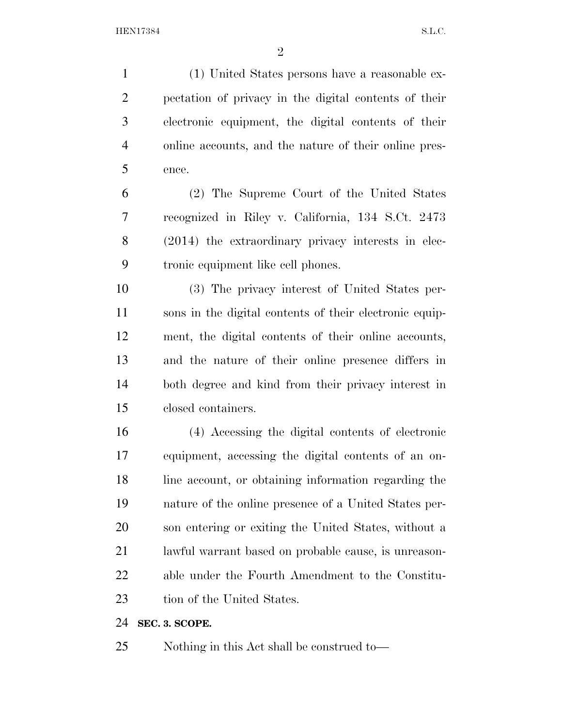(1) United States persons have a reasonable ex- pectation of privacy in the digital contents of their electronic equipment, the digital contents of their online accounts, and the nature of their online pres-ence.

 (2) The Supreme Court of the United States recognized in Riley v. California, 134 S.Ct. 2473 (2014) the extraordinary privacy interests in elec-tronic equipment like cell phones.

 (3) The privacy interest of United States per- sons in the digital contents of their electronic equip- ment, the digital contents of their online accounts, and the nature of their online presence differs in both degree and kind from their privacy interest in closed containers.

 (4) Accessing the digital contents of electronic equipment, accessing the digital contents of an on- line account, or obtaining information regarding the nature of the online presence of a United States per- son entering or exiting the United States, without a lawful warrant based on probable cause, is unreason- able under the Fourth Amendment to the Constitu-23 tion of the United States.

#### **SEC. 3. SCOPE.**

Nothing in this Act shall be construed to—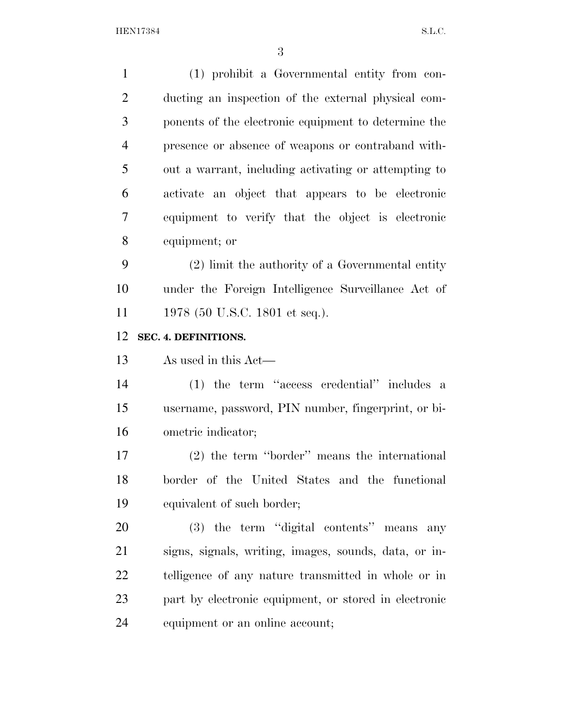(1) prohibit a Governmental entity from con- ducting an inspection of the external physical com- ponents of the electronic equipment to determine the presence or absence of weapons or contraband with- out a warrant, including activating or attempting to activate an object that appears to be electronic equipment to verify that the object is electronic equipment; or (2) limit the authority of a Governmental entity under the Foreign Intelligence Surveillance Act of 11 1978 (50 U.S.C. 1801 et seq.). **SEC. 4. DEFINITIONS.**  As used in this Act— (1) the term ''access credential'' includes a username, password, PIN number, fingerprint, or bi-ometric indicator;

 (2) the term ''border'' means the international border of the United States and the functional equivalent of such border;

 (3) the term ''digital contents'' means any signs, signals, writing, images, sounds, data, or in- telligence of any nature transmitted in whole or in part by electronic equipment, or stored in electronic equipment or an online account;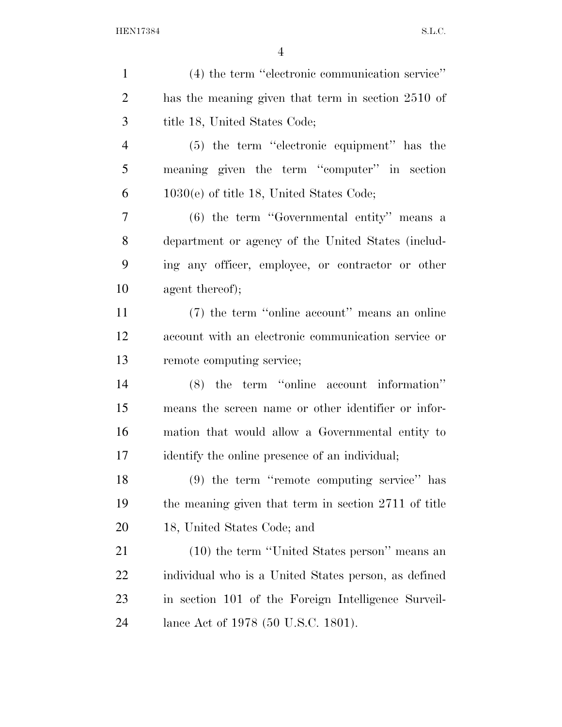| $\mathbf{1}$   | (4) the term "electronic communication service"      |
|----------------|------------------------------------------------------|
| $\overline{2}$ | has the meaning given that term in section 2510 of   |
| 3              | title 18, United States Code;                        |
| $\overline{4}$ | $(5)$ the term "electronic equipment" has the        |
| 5              | meaning given the term "computer" in section         |
| 6              | $1030(e)$ of title 18, United States Code;           |
| 7              | $(6)$ the term "Governmental entity" means a         |
| 8              | department or agency of the United States (includ-   |
| 9              | ing any officer, employee, or contractor or other    |
| 10             | agent thereof);                                      |
| 11             | (7) the term "online account" means an online        |
| 12             | account with an electronic communication service or  |
| 13             | remote computing service;                            |
| 14             | $(8)$ the term "online account information"          |
| 15             | means the screen name or other identifier or infor-  |
| 16             | mation that would allow a Governmental entity to     |
| 17             | identify the online presence of an individual;       |
| 18             | (9) the term "remote computing service" has          |
| 19             | the meaning given that term in section 2711 of title |
| 20             | 18, United States Code; and                          |
| 21             | (10) the term "United States person" means an        |
| 22             | individual who is a United States person, as defined |
| 23             | in section 101 of the Foreign Intelligence Surveil-  |
| 24             | lance Act of 1978 (50 U.S.C. 1801).                  |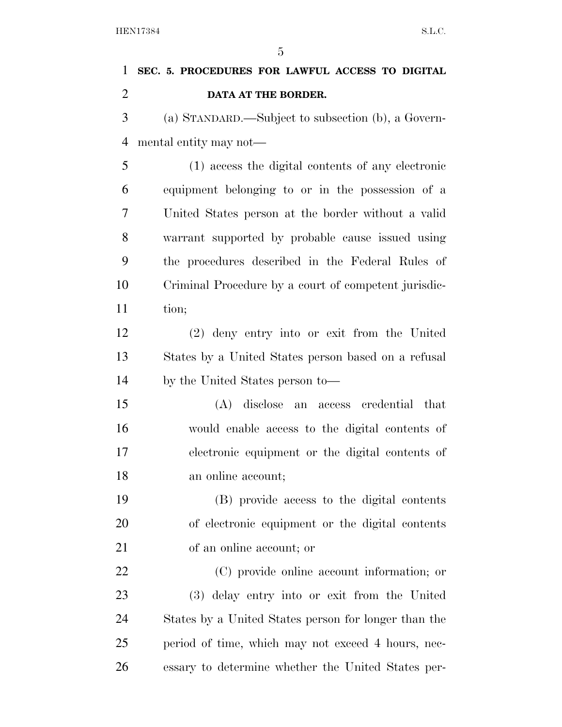## **SEC. 5. PROCEDURES FOR LAWFUL ACCESS TO DIGITAL DATA AT THE BORDER.**  (a) STANDARD.—Subject to subsection (b), a Govern-mental entity may not—

 (1) access the digital contents of any electronic equipment belonging to or in the possession of a United States person at the border without a valid warrant supported by probable cause issued using the procedures described in the Federal Rules of Criminal Procedure by a court of competent jurisdic-11 tion;

 (2) deny entry into or exit from the United States by a United States person based on a refusal by the United States person to—

 (A) disclose an access credential that would enable access to the digital contents of electronic equipment or the digital contents of an online account;

 (B) provide access to the digital contents of electronic equipment or the digital contents of an online account; or

 (C) provide online account information; or (3) delay entry into or exit from the United States by a United States person for longer than the period of time, which may not exceed 4 hours, nec-essary to determine whether the United States per-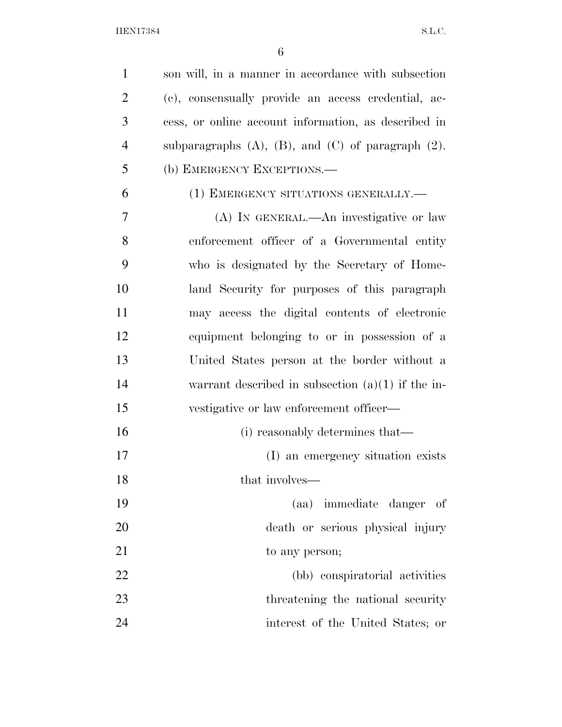| $\mathbf{1}$   | son will, in a manner in accordance with subsection          |
|----------------|--------------------------------------------------------------|
| $\overline{2}$ | (c), consensually provide an access credential, ac-          |
| 3              | cess, or online account information, as described in         |
| $\overline{4}$ | subparagraphs $(A)$ , $(B)$ , and $(C)$ of paragraph $(2)$ . |
| 5              | (b) EMERGENCY EXCEPTIONS.—                                   |
| 6              | (1) EMERGENCY SITUATIONS GENERALLY.—                         |
| 7              | (A) IN GENERAL.—An investigative or law                      |
| 8              | enforcement officer of a Governmental entity                 |
| 9              | who is designated by the Secretary of Home-                  |
| 10             | land Security for purposes of this paragraph                 |
| 11             | may access the digital contents of electronic                |
| 12             | equipment belonging to or in possession of a                 |
| 13             | United States person at the border without a                 |
| 14             | warrant described in subsection $(a)(1)$ if the in-          |
| 15             | vestigative or law enforcement officer—                      |
| 16             | (i) reasonably determines that—                              |
| 17             | (I) an emergency situation exists                            |
| 18             | that involves—                                               |
| 19             | (aa) immediate danger of                                     |
| 20             | death or serious physical injury                             |
| 21             | to any person;                                               |
| 22             | (bb) conspiratorial activities                               |
| 23             | threatening the national security                            |
| 24             | interest of the United States; or                            |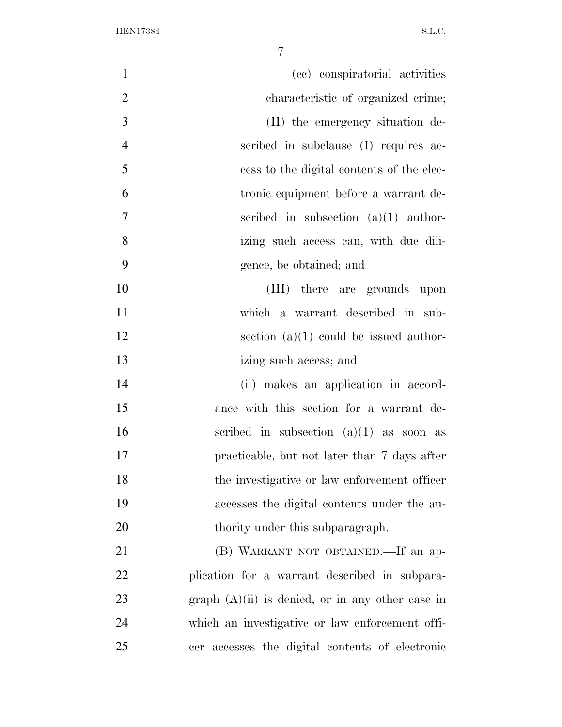| $\mathbf{1}$   | (cc) conspiratorial activities                     |
|----------------|----------------------------------------------------|
| $\overline{2}$ | characteristic of organized crime;                 |
| 3              | (II) the emergency situation de-                   |
| $\overline{4}$ | scribed in subclause (I) requires ac-              |
| 5              | cess to the digital contents of the elec-          |
| 6              | tronic equipment before a warrant de-              |
| $\overline{7}$ | scribed in subsection $(a)(1)$ author-             |
| 8              | izing such access can, with due dili-              |
| 9              | gence, be obtained; and                            |
| 10             | (III) there are grounds upon                       |
| 11             | which a warrant described in sub-                  |
| 12             | section $(a)(1)$ could be issued author-           |
| 13             | izing such access; and                             |
| 14             | (ii) makes an application in accord-               |
| 15             | ance with this section for a warrant de-           |
| 16             | scribed in subsection $(a)(1)$ as soon as          |
| 17             | practicable, but not later than 7 days after       |
| 18             | the investigative or law enforcement officer       |
| 19             | accesses the digital contents under the au-        |
| 20             | thority under this subparagraph.                   |
| 21             | (B) WARRANT NOT OBTAINED.—If an ap-                |
| 22             | plication for a warrant described in subpara-      |
| 23             | graph $(A)(ii)$ is denied, or in any other case in |
| 24             | which an investigative or law enforcement offi-    |
| 25             | cer accesses the digital contents of electronic    |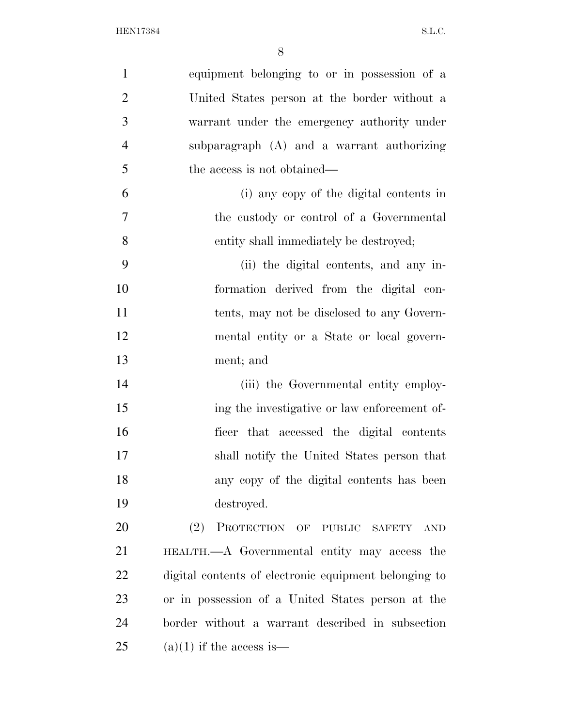| $\mathbf{1}$   | equipment belonging to or in possession of a          |
|----------------|-------------------------------------------------------|
| $\overline{2}$ | United States person at the border without a          |
| 3              | warrant under the emergency authority under           |
| $\overline{4}$ | subparagraph (A) and a warrant authorizing            |
| 5              | the access is not obtained—                           |
| 6              | (i) any copy of the digital contents in               |
| $\overline{7}$ | the custody or control of a Governmental              |
| 8              | entity shall immediately be destroyed;                |
| 9              | (ii) the digital contents, and any in-                |
| 10             | formation derived from the digital con-               |
| 11             | tents, may not be disclosed to any Govern-            |
| 12             | mental entity or a State or local govern-             |
| 13             | ment; and                                             |
| 14             | (iii) the Governmental entity employ-                 |
| 15             | ing the investigative or law enforcement of-          |
| 16             | ficer that accessed the digital contents              |
| 17             | shall notify the United States person that            |
| 18             | any copy of the digital contents has been             |
| 19             | destroyed.                                            |
| 20             | PROTECTION OF PUBLIC SAFETY<br>(2)<br><b>AND</b>      |
| 21             | HEALTH.—A Governmental entity may access the          |
| 22             | digital contents of electronic equipment belonging to |
| 23             | or in possession of a United States person at the     |
| 24             | border without a warrant described in subsection      |
| 25             | $(a)(1)$ if the access is—                            |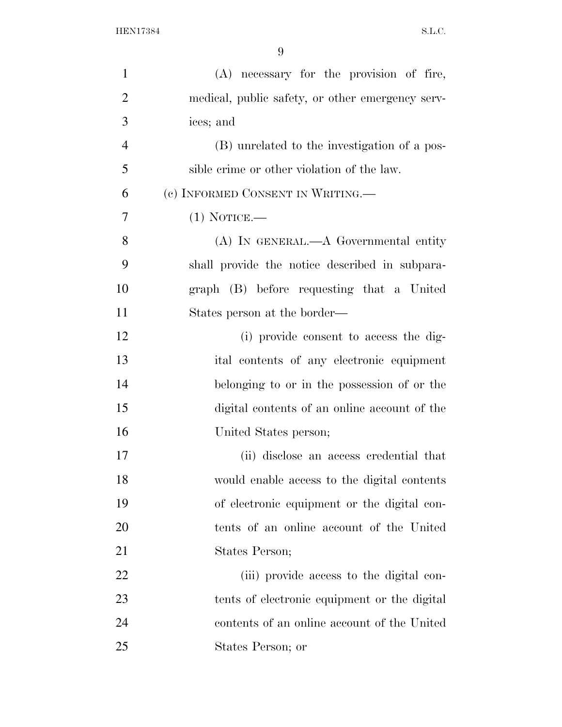| $\mathbf{1}$   | (A) necessary for the provision of fire,         |
|----------------|--------------------------------------------------|
| $\overline{2}$ | medical, public safety, or other emergency serv- |
| 3              | ices; and                                        |
| $\overline{4}$ | (B) unrelated to the investigation of a pos-     |
| 5              | sible crime or other violation of the law.       |
| 6              | (c) INFORMED CONSENT IN WRITING.                 |
| 7              | $(1)$ NOTICE.—                                   |
| 8              | $(A)$ In GENERAL.— $A$ Governmental entity       |
| 9              | shall provide the notice described in subpara-   |
| 10             | graph (B) before requesting that a United        |
| 11             | States person at the border—                     |
| 12             | (i) provide consent to access the dig-           |
| 13             | ital contents of any electronic equipment        |
| 14             | belonging to or in the possession of or the      |
| 15             | digital contents of an online account of the     |
| 16             | United States person;                            |
| 17             | (ii) disclose an access credential that          |
| 18             | would enable access to the digital contents      |
| 19             | of electronic equipment or the digital con-      |
| 20             | tents of an online account of the United         |
| 21             | States Person;                                   |
| 22             | (iii) provide access to the digital con-         |
| 23             | tents of electronic equipment or the digital     |
| 24             | contents of an online account of the United      |
| 25             | States Person; or                                |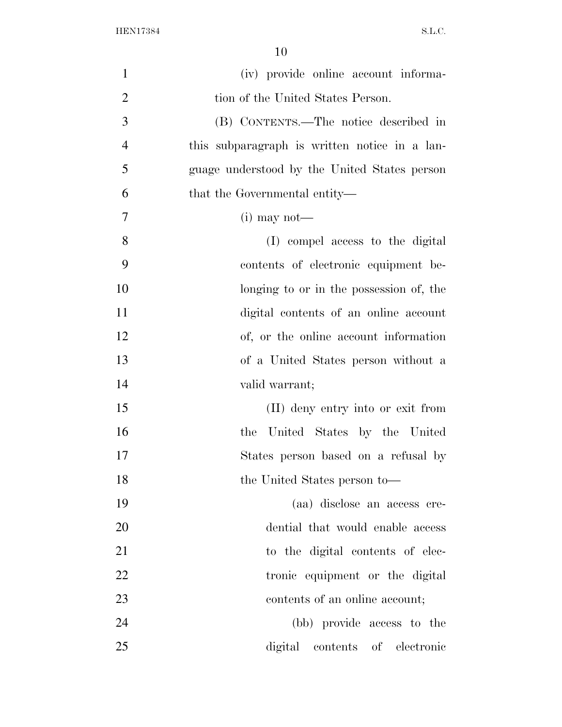| $\mathbf{1}$   | (iv) provide online account informa-          |
|----------------|-----------------------------------------------|
| $\overline{2}$ | tion of the United States Person.             |
| 3              | (B) CONTENTS.—The notice described in         |
| $\overline{4}$ | this subparagraph is written notice in a lan- |
| 5              | guage understood by the United States person  |
| 6              | that the Governmental entity—                 |
| 7              | $(i)$ may not—                                |
| $8\,$          | (I) compel access to the digital              |
| 9              | contents of electronic equipment be-          |
| 10             | longing to or in the possession of, the       |
| 11             | digital contents of an online account         |
| 12             | of, or the online account information         |
| 13             | of a United States person without a           |
| 14             | valid warrant;                                |
| 15             | (II) deny entry into or exit from             |
| 16             | United States by the United<br>the            |
| 17             | States person based on a refusal by           |
| 18             | the United States person to—                  |
| 19             | (aa) disclose an access cre-                  |
| 20             | dential that would enable access              |
| 21             | to the digital contents of elec-              |
| 22             | tronic equipment or the digital               |
| 23             | contents of an online account;                |
| 24             | (bb) provide access to the                    |
| 25             | digital contents of electronic                |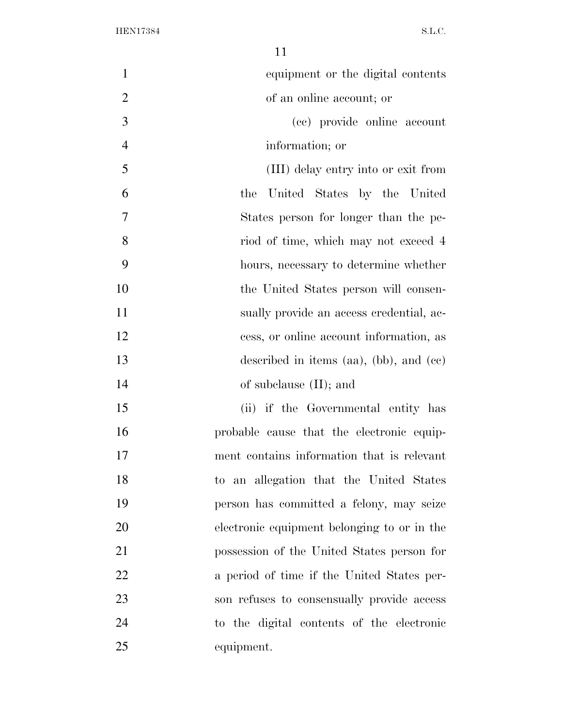| $\mathbf{1}$   | equipment or the digital contents               |
|----------------|-------------------------------------------------|
| $\overline{2}$ | of an online account; or                        |
| 3              | (cc) provide online account                     |
| $\overline{4}$ | information; or                                 |
| 5              | (III) delay entry into or exit from             |
| 6              | United States by the United<br>the              |
| 7              | States person for longer than the pe-           |
| 8              | riod of time, which may not exceed 4            |
| 9              | hours, necessary to determine whether           |
| 10             | the United States person will consen-           |
| 11             | sually provide an access credential, ac-        |
| 12             | cess, or online account information, as         |
| 13             | described in items $(aa)$ , $(bb)$ , and $(cc)$ |
| 14             | of subclause $(II)$ ; and                       |
| 15             | (ii) if the Governmental entity has             |
| 16             | probable cause that the electronic equip-       |
| 17             | ment contains information that is relevant      |
| 18             | to an allegation that the United States         |
| 19             | person has committed a felony, may seize        |
| 20             | electronic equipment belonging to or in the     |
| 21             | possession of the United States person for      |
| 22             | a period of time if the United States per-      |
| 23             | son refuses to consensually provide access      |
| 24             | to the digital contents of the electronic       |
| 25             | equipment.                                      |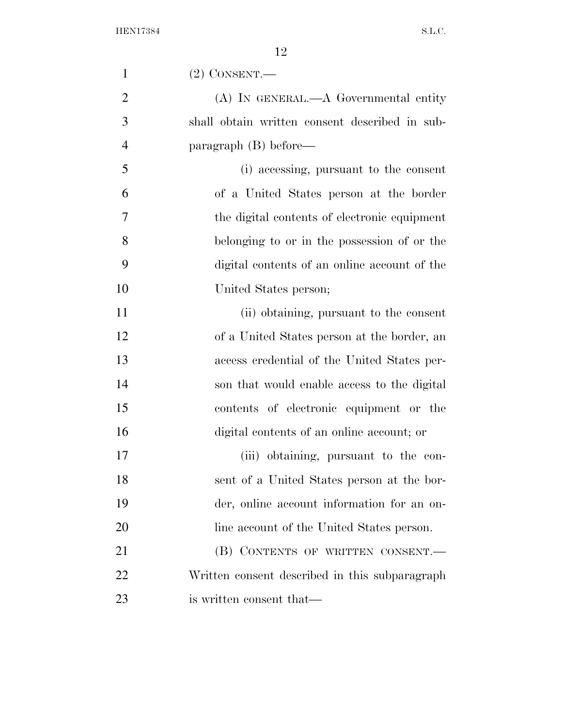| $\mathbf{1}$   | $(2)$ CONSENT.                                 |
|----------------|------------------------------------------------|
| $\overline{2}$ | $(A)$ In GENERAL.— $A$ Governmental entity     |
| 3              | shall obtain written consent described in sub- |
| $\overline{4}$ | $\text{param}(\text{B}) \text{ before}$ —      |
| 5              | (i) accessing, pursuant to the consent         |
| 6              | of a United States person at the border        |
| 7              | the digital contents of electronic equipment   |
| 8              | belonging to or in the possession of or the    |
| 9              | digital contents of an online account of the   |
| 10             | United States person;                          |
| 11             | (ii) obtaining, pursuant to the consent        |
| 12             | of a United States person at the border, an    |
| 13             | access credential of the United States per-    |
| 14             | son that would enable access to the digital    |
| 15             | contents of electronic equipment or the        |
| 16             | digital contents of an online account; or      |
| 17             | (iii) obtaining, pursuant to the con-          |
| 18             | sent of a United States person at the bor-     |
| 19             | der, online account information for an on-     |
| 20             | line account of the United States person.      |
| 21             | (B) CONTENTS OF WRITTEN CONSENT.               |
| 22             | Written consent described in this subparagraph |
| 23             | is written consent that—                       |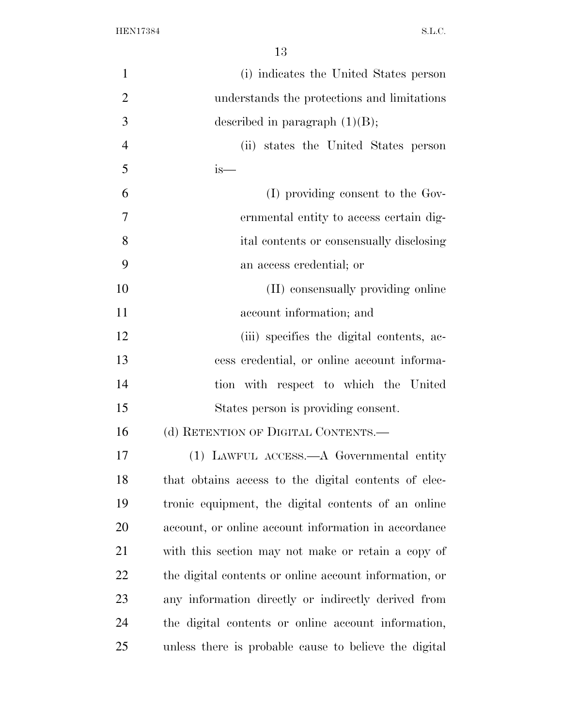| $\mathbf{1}$   | (i) indicates the United States person                 |
|----------------|--------------------------------------------------------|
| $\overline{2}$ | understands the protections and limitations            |
| 3              | described in paragraph $(1)(B)$ ;                      |
| $\overline{4}$ | (ii) states the United States person                   |
| 5              | is—                                                    |
| 6              | (I) providing consent to the Gov-                      |
| 7              | ernmental entity to access certain dig-                |
| 8              | ital contents or consensually disclosing               |
| 9              | an access credential; or                               |
| 10             | (II) consensually providing online                     |
| 11             | account information; and                               |
| 12             | (iii) specifies the digital contents, ac-              |
| 13             | cess credential, or online account informa-            |
| 14             | tion with respect to which the United                  |
| 15             | States person is providing consent.                    |
| 16             | (d) RETENTION OF DIGITAL CONTENTS.—                    |
| 17             | (1) LAWFUL ACCESS.—A Governmental entity               |
| 18             | that obtains access to the digital contents of elec-   |
| 19             | tronic equipment, the digital contents of an online    |
| 20             | account, or online account information in accordance   |
| 21             | with this section may not make or retain a copy of     |
| <u>22</u>      | the digital contents or online account information, or |
| 23             | any information directly or indirectly derived from    |
| 24             | the digital contents or online account information,    |
| 25             | unless there is probable cause to believe the digital  |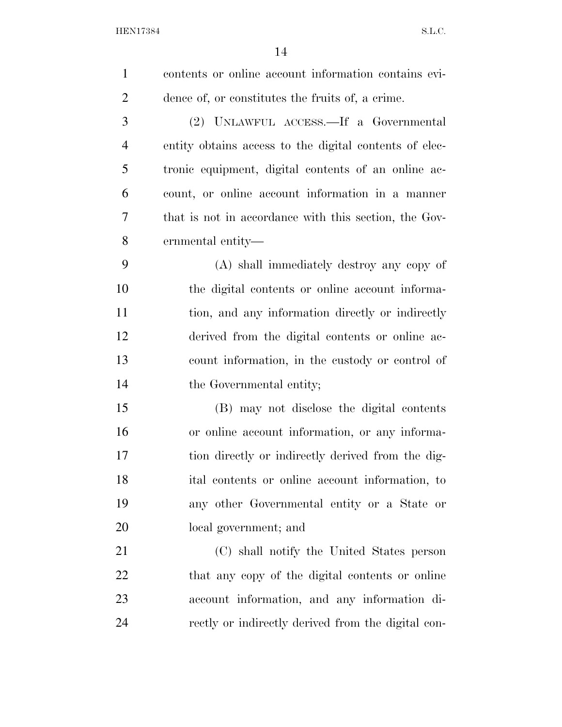| $\mathbf{1}$   | contents or online account information contains evi-   |
|----------------|--------------------------------------------------------|
| $\overline{2}$ | dence of, or constitutes the fruits of, a crime.       |
| 3              | (2) UNLAWFUL ACCESS.—If a Governmental                 |
| 4              | entity obtains access to the digital contents of elec- |
| 5              | tronic equipment, digital contents of an online ac-    |
| 6              | count, or online account information in a manner       |
| 7              | that is not in accordance with this section, the Gov-  |
| 8              | ernmental entity—                                      |
| 9              | (A) shall immediately destroy any copy of              |
| 10             | the digital contents or online account informa-        |
| 11             | tion, and any information directly or indirectly       |
| 12             | derived from the digital contents or online ac-        |
| 13             | count information, in the custody or control of        |
| 14             | the Governmental entity;                               |
| 15             | (B) may not disclose the digital contents              |
| 16             | or online account information, or any informa-         |
| 17             | tion directly or indirectly derived from the dig-      |
| 18             | ital contents or online account information, to        |
| 19             | any other Governmental entity or a State or            |
| 20             | local government; and                                  |
| 21             | (C) shall notify the United States person              |
| 22             | that any copy of the digital contents or online        |
| 23             | account information, and any information di-           |
| 24             | rectly or indirectly derived from the digital con-     |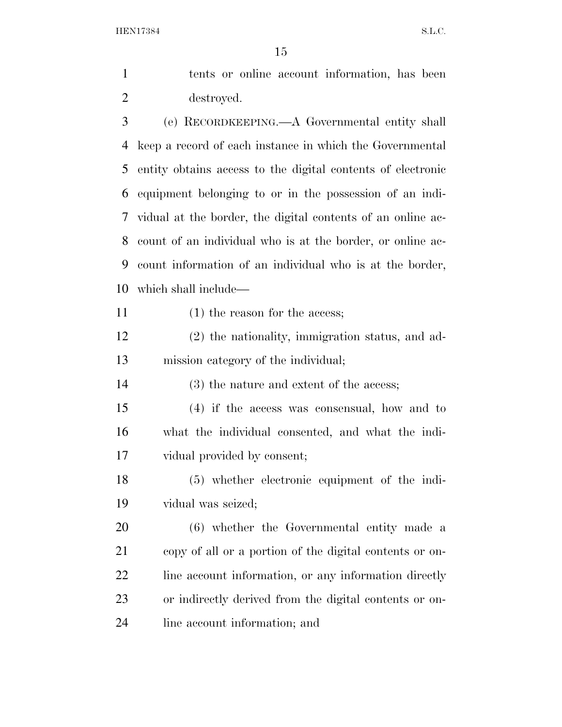| $\mathbf{1}$   | tents or online account information, has been               |
|----------------|-------------------------------------------------------------|
| $\overline{2}$ | destroyed.                                                  |
| 3              | (e) RECORDKEEPING.—A Governmental entity shall              |
| 4              | keep a record of each instance in which the Governmental    |
| 5              | entity obtains access to the digital contents of electronic |
| 6              | equipment belonging to or in the possession of an indi-     |
| 7              | vidual at the border, the digital contents of an online ac- |
| 8              | count of an individual who is at the border, or online ac-  |
| 9              | count information of an individual who is at the border,    |
| 10             | which shall include—                                        |
| 11             | $(1)$ the reason for the access;                            |
| 12             | (2) the nationality, immigration status, and ad-            |
| 13             | mission category of the individual;                         |
| 14             | (3) the nature and extent of the access;                    |
| 15             | $(4)$ if the access was consensual, how and to              |
| 16             | what the individual consented, and what the indi-           |
| 17             | vidual provided by consent;                                 |
| 18             | $(5)$ whether electronic equipment of the indi-             |
| 19             | vidual was seized;                                          |
| 20             | (6) whether the Governmental entity made a                  |
| 21             | copy of all or a portion of the digital contents or on-     |
| 22             | line account information, or any information directly       |
| 23             | or indirectly derived from the digital contents or on-      |

line account information; and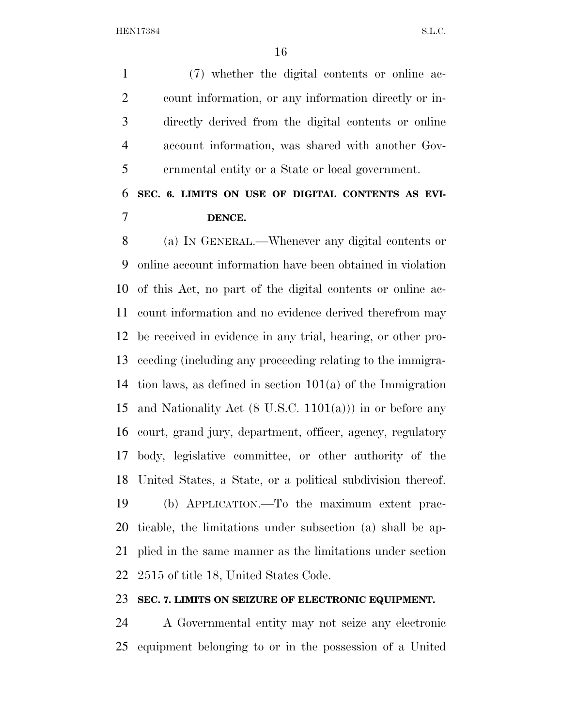(7) whether the digital contents or online ac- count information, or any information directly or in- directly derived from the digital contents or online account information, was shared with another Gov-ernmental entity or a State or local government.

### **SEC. 6. LIMITS ON USE OF DIGITAL CONTENTS AS EVI-DENCE.**

 (a) IN GENERAL.—Whenever any digital contents or online account information have been obtained in violation of this Act, no part of the digital contents or online ac- count information and no evidence derived therefrom may be received in evidence in any trial, hearing, or other pro- ceeding (including any proceeding relating to the immigra- tion laws, as defined in section 101(a) of the Immigration 15 and Nationality Act  $(8 \text{ U.S.C. } 1101(a))$  in or before any court, grand jury, department, officer, agency, regulatory body, legislative committee, or other authority of the United States, a State, or a political subdivision thereof. (b) APPLICATION.—To the maximum extent prac- ticable, the limitations under subsection (a) shall be ap- plied in the same manner as the limitations under section 2515 of title 18, United States Code.

#### **SEC. 7. LIMITS ON SEIZURE OF ELECTRONIC EQUIPMENT.**

 A Governmental entity may not seize any electronic equipment belonging to or in the possession of a United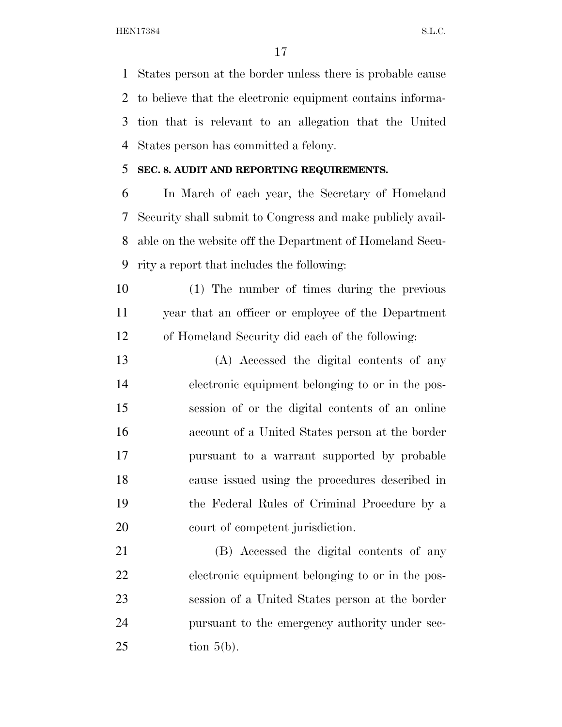States person at the border unless there is probable cause to believe that the electronic equipment contains informa- tion that is relevant to an allegation that the United States person has committed a felony.

#### **SEC. 8. AUDIT AND REPORTING REQUIREMENTS.**

 In March of each year, the Secretary of Homeland Security shall submit to Congress and make publicly avail- able on the website off the Department of Homeland Secu-rity a report that includes the following:

 (1) The number of times during the previous year that an officer or employee of the Department of Homeland Security did each of the following:

 (A) Accessed the digital contents of any electronic equipment belonging to or in the pos- session of or the digital contents of an online account of a United States person at the border pursuant to a warrant supported by probable cause issued using the procedures described in the Federal Rules of Criminal Procedure by a court of competent jurisdiction.

 (B) Accessed the digital contents of any electronic equipment belonging to or in the pos- session of a United States person at the border pursuant to the emergency authority under sec-tion  $5(b)$ .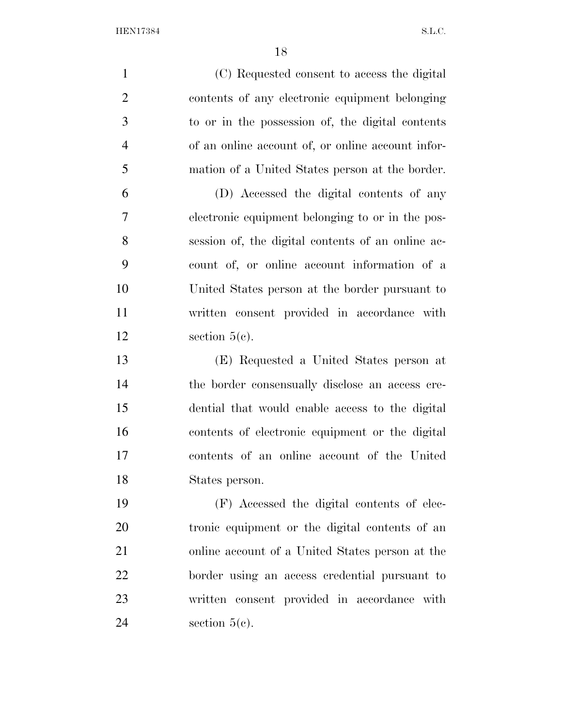| $\mathbf{1}$   | (C) Requested consent to access the digital       |
|----------------|---------------------------------------------------|
| $\overline{2}$ | contents of any electronic equipment belonging    |
| 3              | to or in the possession of, the digital contents  |
| $\overline{4}$ | of an online account of, or online account infor- |
| 5              | mation of a United States person at the border.   |
| 6              | (D) Accessed the digital contents of any          |
| 7              | electronic equipment belonging to or in the pos-  |
| 8              | session of, the digital contents of an online ac- |
| 9              | count of, or online account information of a      |
| 10             | United States person at the border pursuant to    |
| 11             | written consent provided in accordance with       |
| 12             | section $5(c)$ .                                  |
| 13             | (E) Requested a United States person at           |
| 14             | the border consensually disclose an access cre-   |
| 15             | dential that would enable access to the digital   |
| 16             | contents of electronic equipment or the digital   |
| 17             | contents of an online account of the United       |
| 18             | States person.                                    |
| 19             | (F) Accessed the digital contents of elec-        |
| 20             | tronic equipment or the digital contents of an    |
| 21             | online account of a United States person at the   |
| 22             | border using an access credential pursuant to     |
| 23             | written consent provided in accordance with       |
| 24             | section $5(c)$ .                                  |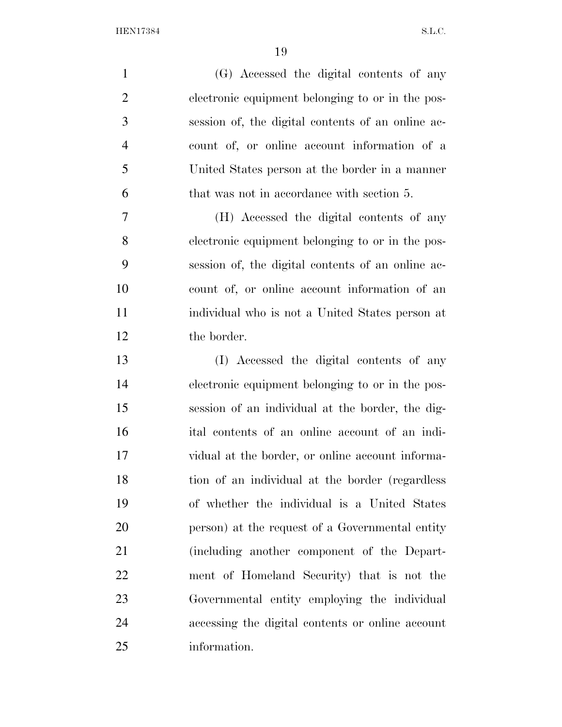| $\mathbf{1}$   | (G) Accessed the digital contents of any          |
|----------------|---------------------------------------------------|
| $\overline{2}$ | electronic equipment belonging to or in the pos-  |
| 3              | session of, the digital contents of an online ac- |
| $\overline{4}$ | count of, or online account information of a      |
| 5              | United States person at the border in a manner    |
| 6              | that was not in accordance with section 5.        |
| 7              | (H) Accessed the digital contents of any          |
| 8              | electronic equipment belonging to or in the pos-  |
| 9              | session of, the digital contents of an online ac- |
| 10             | count of, or online account information of an     |
| 11             | individual who is not a United States person at   |
| 12             | the border.                                       |
| 13             | (I) Accessed the digital contents of any          |
| 14             | electronic equipment belonging to or in the pos-  |
| 15             | session of an individual at the border, the dig-  |
| 16             | ital contents of an online account of an indi-    |
| 17             | vidual at the border, or online account informa-  |
| 18             | tion of an individual at the border (regardless   |
| 19             | of whether the individual is a United States      |
| 20             | person) at the request of a Governmental entity   |
| 21             | (including another component of the Depart-       |
| 22             | ment of Homeland Security) that is not the        |
| 23             | Governmental entity employing the individual      |
| 24             | accessing the digital contents or online account  |
| 25             | information.                                      |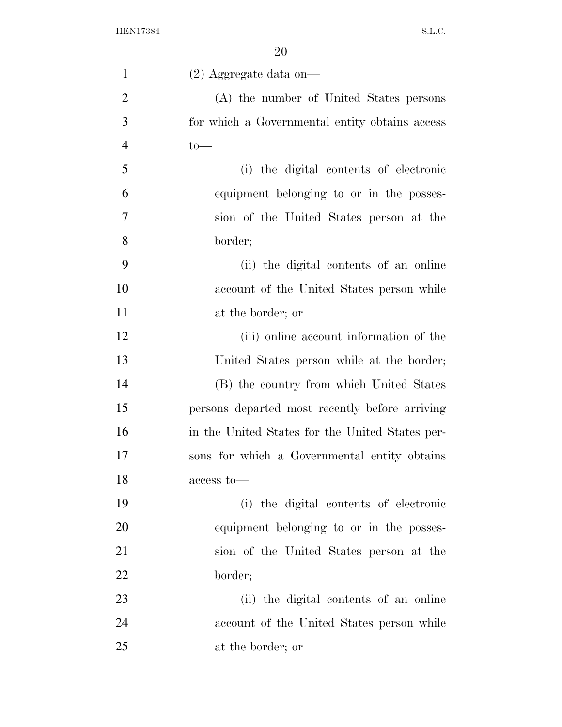| $\mathbf{1}$   | $(2)$ Aggregate data on-                        |
|----------------|-------------------------------------------------|
| $\overline{2}$ | (A) the number of United States persons         |
| 3              | for which a Governmental entity obtains access  |
| $\overline{4}$ | $to-$                                           |
| 5              | (i) the digital contents of electronic          |
| 6              | equipment belonging to or in the posses-        |
| 7              | sion of the United States person at the         |
| 8              | border;                                         |
| 9              | (ii) the digital contents of an online          |
| 10             | account of the United States person while       |
| 11             | at the border; or                               |
| 12             | (iii) online account information of the         |
| 13             | United States person while at the border;       |
| 14             | (B) the country from which United States        |
| 15             | persons departed most recently before arriving  |
| 16             | in the United States for the United States per- |
| 17             | sons for which a Governmental entity obtains    |
| 18             | access to-                                      |
| 19             | (i) the digital contents of electronic          |
| 20             | equipment belonging to or in the posses-        |
| 21             | sion of the United States person at the         |
| 22             | border;                                         |
| 23             | (ii) the digital contents of an online          |
| 24             | account of the United States person while       |
| 25             | at the border; or                               |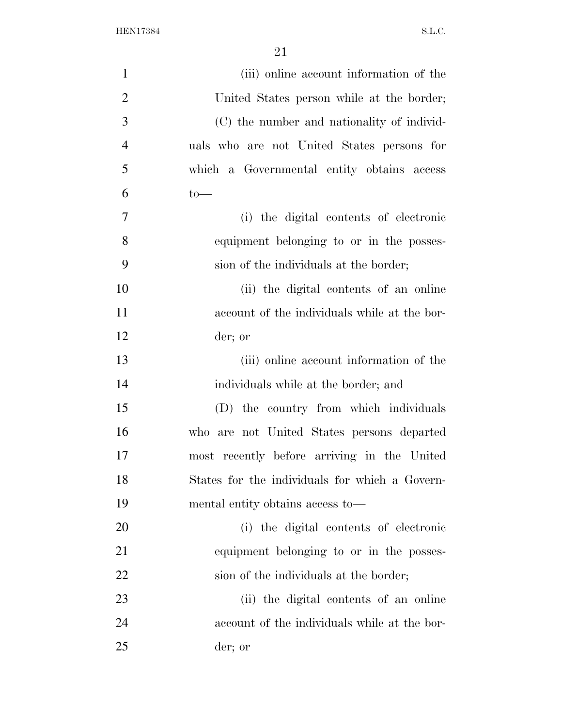| $\mathbf{1}$   | (iii) online account information of the        |
|----------------|------------------------------------------------|
| $\overline{2}$ | United States person while at the border;      |
| 3              | (C) the number and nationality of individ-     |
| $\overline{4}$ | uals who are not United States persons for     |
| 5              | which a Governmental entity obtains access     |
| 6              | $to-$                                          |
| $\overline{7}$ | (i) the digital contents of electronic         |
| 8              | equipment belonging to or in the posses-       |
| 9              | sion of the individuals at the border;         |
| 10             | (ii) the digital contents of an online         |
| 11             | account of the individuals while at the bor-   |
| 12             | der; or                                        |
| 13             | (iii) online account information of the        |
| 14             | individuals while at the border; and           |
| 15             | (D) the country from which individuals         |
| 16             | who are not United States persons departed     |
| 17             | most recently before arriving in the United    |
| 18             | States for the individuals for which a Govern- |
| 19             | mental entity obtains access to—               |
| 20             | (i) the digital contents of electronic         |
| 21             | equipment belonging to or in the posses-       |
| 22             | sion of the individuals at the border;         |
| 23             | (ii) the digital contents of an online         |
| 24             | account of the individuals while at the bor-   |
| 25             | der; or                                        |